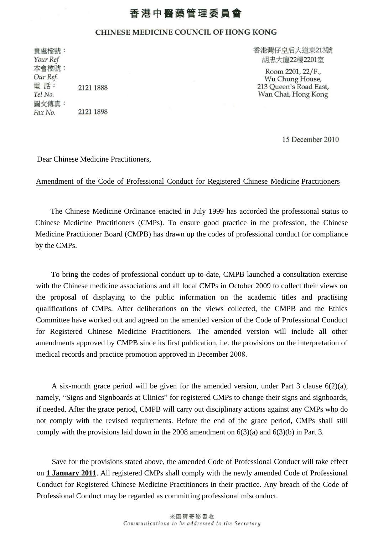## 香港中醫藥管理委員會

## CHINESE MEDICINE COUNCIL OF HONG KONG

貴處檔號: Your Ref 本會檔號: Our Ref. 電話: 2121 1888 Tel No. 圖文傳真: 2121 1898 Fax No.

香港灣仔皇后大道東213號 胡忠大廈22樓2201室

Room 2201, 22/F., Wu Chung House, 213 Queen's Road East, Wan Chai, Hong Kong

15 December 2010

Dear Chinese Medicine Practitioners,

## Amendment of the Code of Professional Conduct for Registered Chinese Medicine Practitioners

The Chinese Medicine Ordinance enacted in July 1999 has accorded the professional status to Chinese Medicine Practitioners (CMPs). To ensure good practice in the profession, the Chinese Medicine Practitioner Board (CMPB) has drawn up the codes of professional conduct for compliance by the CMPs.

To bring the codes of professional conduct up-to-date, CMPB launched a consultation exercise with the Chinese medicine associations and all local CMPs in October 2009 to collect their views on the proposal of displaying to the public information on the academic titles and practising qualifications of CMPs. After deliberations on the views collected, the CMPB and the Ethics Committee have worked out and agreed on the amended version of the Code of Professional Conduct for Registered Chinese Medicine Practitioners. The amended version will include all other amendments approved by CMPB since its first publication, i.e. the provisions on the interpretation of medical records and practice promotion approved in December 2008.

A six-month grace period will be given for the amended version, under Part 3 clause  $6(2)(a)$ , namely, "Signs and Signboards at Clinics" for registered CMPs to change their signs and signboards, if needed. After the grace period, CMPB will carry out disciplinary actions against any CMPs who do not comply with the revised requirements. Before the end of the grace period, CMPs shall still comply with the provisions laid down in the 2008 amendment on  $6(3)(a)$  and  $6(3)(b)$  in Part 3.

Save for the provisions stated above, the amended Code of Professional Conduct will take effect on **1 January 2011**. All registered CMPs shall comply with the newly amended Code of Professional Conduct for Registered Chinese Medicine Practitioners in their practice. Any breach of the Code of Professional Conduct may be regarded as committing professional misconduct.